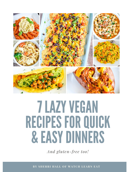

# **7 LAZY VEGAN** RECIPES FOR QUICK & EASYDINNERS

*And gluten-free too!*

**BY SHERRI HALL OF WATCH LEARN EAT**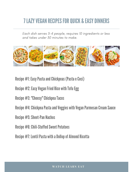# **7 LAZY VEGAN RECIPES FOR QUICK & EASY DINNERS**

Each dish serves 3-4 people, requires 10 ingredients or less and takes under 30 minutes to make.



Recipe #1: Easy Pasta and Chickpeas (Pasta e Ceci)

Recipe #2: Easy Vegan Fried Rice with Tofu Egg

Recipe #3: "Cheesy" ChickpeaTacos

Recipe #4: Chickpea Pasta and Veggies with Vegan Parmesan Cream Sauce

Recipe #5: Sheet-Pan Nachos

Recipe #6: Chili-Stuffed Sweet Potatoes

Recipe #7: Lentil Pasta with a Dollop of Almond Ricotta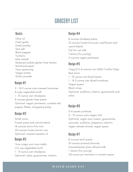# **GROCERY LIST**

#### **Basics**

Olive oil Fresh garlic Dried parsley Sea salt Black pepper Turmeric Kala namak Reduced sodium gluten-free tamari Nutritional yeast Taco seasoning Vegan butter Garlic powder

#### Recipe #1

2 - 14.5 ounce cans stewed tomatoes 4 cups vegetable broth 1 - 15 ounce can chickpeas 4 ounces gluten-free pasta Optional: vegan parmesan, crushed red pepper flakes, chopped parsley

#### Recipe #2

Small onion Frozen peas and carrots blend 14 ounces extra-firm tofu 20 ounces frozen brown rice Optional: toasted sesame oil

#### Recipe #3

1 box crispy corn taco shells 1/2 cup vegetable broth 1 - 15 ounce can chickpeas Optional: salsa, guacamole, cilantro

#### Recipe #4

8 ounces chickpea pasta 12 ounces frozen broccoli, cauliflower and carrot blend Full fat oat milk 1 lemon (for juicing) 4 ounces vegan parmesan

#### Recipe #5

1 bag (5.5-8 ounce) non-GMO Tortilla Chips Red onion 1 - 15 ounce can black beans 1 - 14.5 ounce can diced tomatoes Vegan queso Black olives Optional: scallions, cilantro, guacamole and salsa

### Recipe #6

3-4 sweet potatoes 2 - 15 ounce cans vegan chili Optional: vegan sour cream, guacamole, avocado, scallions, jalapenos, cilantro, vegan cheese shreds, vegan queso

#### Recipe #7

8 ounces lentil pasta 10 ounces slivered almonds Unsweetened, plain almond milk 1 lemon (for juicing) 24 ounce jar marinara or tomato sauce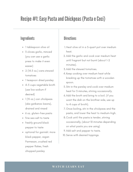### Recipe #1: Easy Pasta and Chickpeas (Pasta e Ceci)

### Ingredients **Directions**

- 1 tablespoon olive oil
- 3 cloves garlic, minced (you can use a garlic press to make it even easier)
- 2 (14.5 oz.) cans stewed tomatoes
- 1 teaspoon dried parsley
- 4-5 cups vegetable broth (use low sodium if desired)
- 1 (15 oz.) can chickpeas (aka garbanzo beans), drained and rinsed
- 6 oz. gluten-free pasta
- fine sea salt to taste
- freshly ground black pepper to taste
- optional for garnish: more black pepper, vegan Parmesan, crushed red pepper flakes, fresh chopped parsley

- Heat olive oil in a 3-quart pot over medium 1. heat.
- 2. Add the garlic and cook over medium heat until fragrant but not burnt (about 1-2 minutes).
- Add the stewed tomatoes. 3.
- Keep cooking over medium heat while 4. breaking up the tomatoes with a wooden spoon.
- Stir in the parsley and cook over medium 5. heat for 3 minutes, stirring occasionally.
- Add the broth and bring to a boil. (if you 6. want the dish on the brothier side, use up to 4 cups of broth).
- Once boiling, stir in the chickpeas and the 7. pasta, and lower the heat to medium-high.
- Cook until the pasta is tender, stirring 8. occasionally, (about 10 minutes depending on what pasta you are using)
- Add salt and pepper to taste. 9.
- 10. Serve with desired toppings.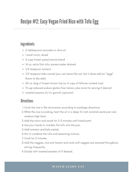### Recipe #2: Easy Vegan Fried Rice with Tofu Egg

### **Ingredients**

- 2 tablespoons avocado or olive oil
- 1 small onion, diced
- 2 cups frozen peas/carrots blend
- 14 oz. extra firm tofu, excess water drained
- 1/2 teaspoon turmeric
- 1/2 teaspoon kala namak (you can leave this out, but it does add an "eggy" flavor to the dish)
- 20 oz. bag of frozen brown rice (or 4 cups of leftover cooked rice)
- ¼ cup reduced sodium gluten-free tamari, plus more for serving if desired
- toasted sesame oil, for garnish (optional)

#### **Directions**

- Cook the rice in the microwave according to package directions. 1.
- While the rice is cooking, heat the oil in a deep 12-inch nonstick sauté pan over 2. medium-high heat.
- Add the onion and sauté for 2-3 minutes until translucent. 3.
- Use your hands to crumble the tofu into the pan. 4.
- 5. Add turmeric and kala namak.
- Stir to combine the tofu and seasoning mixture. 6.
- Cook for 2 minutes. 7.
- Add the veggies, rice and tamari and cook until veggies are warmed throughout, 8. stirring frequently.
- Drizzle with toasted sesame oil if desired. 9.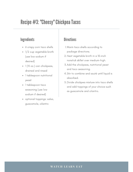### Recipe #3: "Cheesy" ChickpeaTacos

### Ingredients **Directions**

- 6 crispy corn taco shells
- 1/2 cup vegetable broth (use low sodium if desired)
- 1 (15 oz.) can chickpeas, drained and rinsed
- 1 tablespoon nutritional yeast
- 1 tablespoon taco seasoning (use low sodium if desired)
- optional toppings: salsa, guacamole, cilantro

- Warm taco shells according to 1. package directions.
- 2. Heat vegetable broth in a 10-inch nonstick skillet over medium-high.
- Add the chickpeas, nutritional yeast 3. and taco seasoning.
- Stir to combine and sauté until liquid is 4. absorbed.
- Divide chickpea mixture into taco shells 5. and add toppings of your choice such as guacamole and cilantro.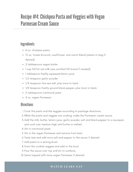### Recipe #4: Chickpea Pasta and Veggies with Vegan Parmesan Cream Sauce

### **Ingredients**

- 8 oz. chickpea pasta
- 12 oz. frozen broccoli, cauliflower, and carrot blend (steam-in-bag if desired)
- 2 tablespoons vegan butter
- 1 cup full fat oat milk (use certified GF brand if needed)
- 1 tablespoon freshly squeezed lemon juice
- 1/2 teaspoon garlic powder
- 1/4 teaspoon fine sea salt, plus more to taste
- 1/8 teaspoon freshly ground black pepper, plus more to taste
- 2 tablespoons nutritional yeast
- 4 oz. vegan Parmesan

#### **Directions**

- Cook the pasta and the veggies according to package directions. 1.
- While the pasta and veggies are cooking, make the Parmesan cream sauce. 2.
- Add the milk, butter, lemon juice, garlic powder, salt and black pepper to a saucepan 3. and cook over medium-high until butter is melted.
- 4. Stir in nutritional veast.
- Stir in the vegan Parmesan and remove from heat. 5.
- Taste test and add more salt and pepper to the sauce if desired. 6.
- Add pasta to a serving bowl. 7.
- 8. Drain the cooked veggies and add to the bowl.
- 9. Pour the sauce over top and stir to combine.
- Serve topped with more vegan Parmesan if desired. 10.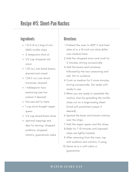### Recipe #5: Sheet-Pan Nachos

### Ingredients **Directions**

- $\bullet$  1 (5.5-8 oz.) bag of non-GMO tortilla chips
- 2 teaspoons olive oil
- 1/2 cup chopped red onion
- 1 (15 oz.) can black beans, drained and rinsed
- $\bullet$  1 (14.5 oz.) can diced tomatoes, drained
- 1 tablespoon taco seasoning (use low sodium if desired)
- fine sea salt to taste
- 1 cup store-bought vegan queso
- 1/2 cup sliced black olives
- optional toppings and dips for serving: chopped scallions, chopped cilantro, guacamole, salsa

- Preheat the oven to 400° F and heat 1. olive oil in a 10-inch non-stick skillet over medium heat.
- 2. Add the chopped onion and cook for 2 minutes, stirring occasionally.
- Add the beans and tomatoes 3. followed by the taco seasoning and salt. Stir to combine.
- Cook on medium for 5 more minutes, 4. stirring occasionally. Set aside until ready to use.
- When you are ready to assemble the 5. nachos, start by spreading the tortilla chips out on a large baking sheet (lined with parchment paper if desired).
- Spread the bean and tomato mixture 6. over the chips.
- Add the vegan queso and the olives. 7.
- Bake for 7-10 minutes until exposed 8. chips are lightly toasted.
- After removing from the oven, top 9. with scallions and cilantro, if using.
- 10. Serve as is or with salsa or guacamole.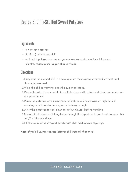### **Recipe 6: Chili-Stuffed Sweet Potatoes**

### **Ingredients**

- 3-4 sweet potatoes
- 2 (15 oz.) cans vegan chili
- optional toppings: sour cream, guacamole, avocado, scallions, jalapenos, cilantro, vegan queso, vegan cheese shreds

#### **Directions**

- First, heat the canned chili in a saucepan on the stovetop over medium heat until 1. thoroughly warmed.
- While the chili is warming, cook the sweet potatoes. 2.
- Pierce the skin of each potato in multiple places with a fork and then wrap each one 3. in a paper towel
- Place the potatoes on a microwave-safe plate and microwave on high for 6-8 4. minutes, or until tender, turning once halfway through.
- 5. Allow the potatoes to cool down for a few minutes before handling.
- Use a knife to make a slit lengthwise through the top of each sweet potato about 1/3 6. to 1/2 of the way down.
- Fill the inside of each sweet potato with chili. Add desired toppings. 7.

Note: If you'd like, you can use leftover chili instead of canned.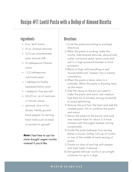### Recipe #7: Lentil Pasta with a Dollop of Almond Ricotta

#### Ingredients **Directions**

- 8 oz. lentil pasta
- 10 oz. slivered almonds
- 2/3 cup unsweetened, plain almond milk
- 10 tablespoons filtered water
- $\cdot$  1/2 tablespoons nutritional yeast
- 1 tablespoon freshly squeezed lemon juice
- 1 teaspoon fine sea salt
- 24-25 oz. jar of marinara or tomato sauce
- optional: olive oil for drizzle, freshly ground black pepper for serving, fresh herbs such as basil or parsley for garnish

**Note:** Feel free to opt for store-bought vegan ricotta instead if you'd like.

- Cook the pasta according to package 1. directions.
- While the pasta is cooking, make the 2. ricotta. Add slivered almonds, almond milk, water, nutritional yeast, lemon juice and salt to a high-powered blender or food processor.
- Blend on high until everything is well 3. incorporated and "cheese" has a creamy consistency.
- When the pasta is done, drain in a 4. colander. While the pasta is draining, heat up the sauce.
- 5. Add the sauce to the pot you used to make the pasta and warm over mediumhigh heat for 2 minutes, stirring constantly to avoid splattering.
- Remove the pot from the heat and add the 6. cooked pasta. Stir to combine the pasta and sauce.
- Return the pasta to the burner and cook 7. over medium heat for about 2-3 more minutes until thoroughly heated, stirring occasionally.
- Divide the pasta between four serving 8. dishes or bowls. Dollop 1/4 cup of ricotta on top of the middle of each serving of pasta.
- Drizzle on olive oil and top with pepper 9. and fresh herbs if desired.
- 10. Refrigerate leftover ricotta in an airtight container for up to 5 days.